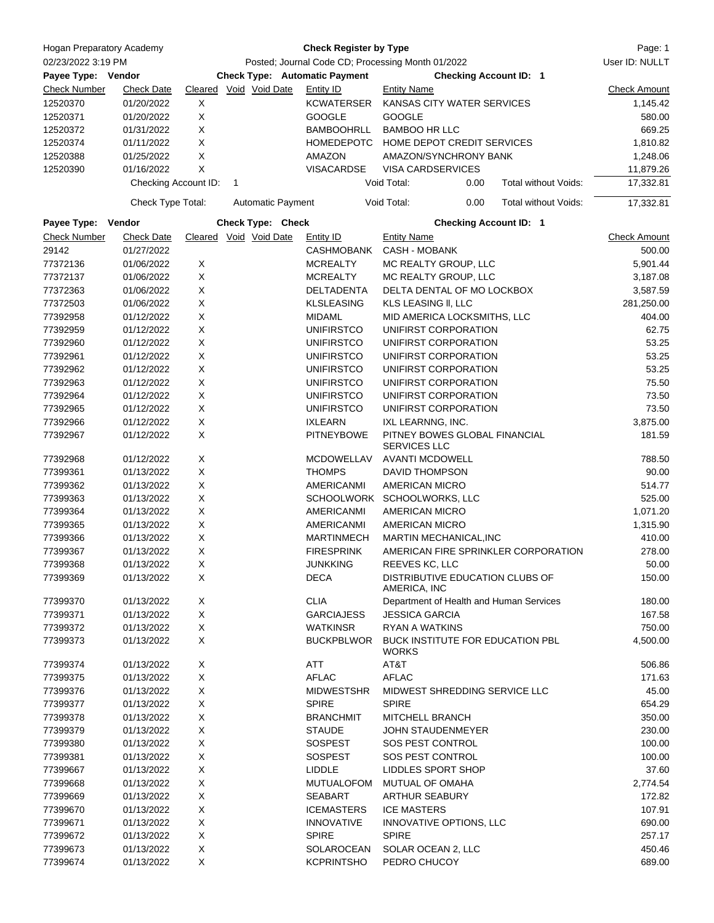| Hogan Preparatory Academy                |                      |   | <b>Check Register by Type</b>                                                                                              |                                    |                                                      |                                         |                     |  |
|------------------------------------------|----------------------|---|----------------------------------------------------------------------------------------------------------------------------|------------------------------------|------------------------------------------------------|-----------------------------------------|---------------------|--|
| 02/23/2022 3:19 PM<br>Payee Type: Vendor |                      |   | Posted; Journal Code CD; Processing Month 01/2022<br><b>Check Type: Automatic Payment</b><br><b>Checking Account ID: 1</b> |                                    |                                                      |                                         |                     |  |
|                                          |                      |   |                                                                                                                            |                                    |                                                      |                                         |                     |  |
| <b>Check Number</b>                      | <b>Check Date</b>    |   | Cleared Void Void Date                                                                                                     | Entity ID                          | <b>Entity Name</b>                                   | <b>Check Amount</b>                     |                     |  |
| 12520370                                 | 01/20/2022           | X |                                                                                                                            | <b>KCWATERSER</b>                  | KANSAS CITY WATER SERVICES                           | 1,145.42                                |                     |  |
| 12520371                                 | 01/20/2022           | X |                                                                                                                            | <b>GOOGLE</b>                      | <b>GOOGLE</b>                                        |                                         | 580.00              |  |
| 12520372                                 | 01/31/2022           | X |                                                                                                                            | <b>BAMBOOHRLL</b>                  | <b>BAMBOO HR LLC</b>                                 |                                         | 669.25              |  |
| 12520374                                 | 01/11/2022           | X |                                                                                                                            | <b>HOMEDEPOTC</b>                  | HOME DEPOT CREDIT SERVICES                           |                                         | 1,810.82            |  |
| 12520388                                 | 01/25/2022           | X |                                                                                                                            | AMAZON                             | AMAZON/SYNCHRONY BANK                                | 1,248.06                                |                     |  |
| 12520390                                 | 01/16/2022           | X |                                                                                                                            | <b>VISACARDSE</b>                  | <b>VISA CARDSERVICES</b>                             |                                         | 11,879.26           |  |
|                                          | Checking Account ID: |   | 1                                                                                                                          |                                    | Void Total:                                          | 0.00<br>Total without Voids:            | 17,332.81           |  |
|                                          | Check Type Total:    |   | <b>Automatic Payment</b>                                                                                                   |                                    | Void Total:                                          | 0.00<br>Total without Voids:            | 17,332.81           |  |
| Payee Type: Vendor                       |                      |   | Check Type: Check                                                                                                          |                                    |                                                      | <b>Checking Account ID: 1</b>           |                     |  |
| <b>Check Number</b>                      | <b>Check Date</b>    |   | Cleared Void Void Date                                                                                                     | Entity ID                          | <b>Entity Name</b>                                   |                                         | <b>Check Amount</b> |  |
| 29142                                    | 01/27/2022           |   |                                                                                                                            | CASHMOBANK                         | <b>CASH - MOBANK</b>                                 |                                         | 500.00              |  |
| 77372136                                 | 01/06/2022           | X |                                                                                                                            | <b>MCREALTY</b>                    | MC REALTY GROUP, LLC                                 | 5,901.44                                |                     |  |
| 77372137                                 | 01/06/2022           | X |                                                                                                                            | <b>MCREALTY</b>                    | MC REALTY GROUP, LLC                                 | 3,187.08                                |                     |  |
| 77372363                                 | 01/06/2022           | X |                                                                                                                            | DELTADENTA                         | DELTA DENTAL OF MO LOCKBOX                           | 3,587.59                                |                     |  |
| 77372503                                 | 01/06/2022           | X |                                                                                                                            | <b>KLSLEASING</b>                  | KLS LEASING II, LLC                                  | 281,250.00                              |                     |  |
| 77392958                                 | 01/12/2022           | X |                                                                                                                            | <b>MIDAML</b>                      | MID AMERICA LOCKSMITHS, LLC                          |                                         | 404.00              |  |
| 77392959                                 | 01/12/2022           | X |                                                                                                                            | <b>UNIFIRSTCO</b>                  | UNIFIRST CORPORATION                                 |                                         | 62.75               |  |
| 77392960                                 | 01/12/2022           | X |                                                                                                                            | <b>UNIFIRSTCO</b>                  | UNIFIRST CORPORATION                                 |                                         | 53.25               |  |
| 77392961                                 | 01/12/2022           | X |                                                                                                                            | <b>UNIFIRSTCO</b>                  | UNIFIRST CORPORATION                                 | 53.25                                   |                     |  |
| 77392962                                 | 01/12/2022           | X |                                                                                                                            | <b>UNIFIRSTCO</b>                  | UNIFIRST CORPORATION                                 | 53.25                                   |                     |  |
| 77392963                                 | 01/12/2022           | X |                                                                                                                            | <b>UNIFIRSTCO</b>                  | UNIFIRST CORPORATION                                 | 75.50                                   |                     |  |
| 77392964                                 | 01/12/2022           | X |                                                                                                                            | <b>UNIFIRSTCO</b>                  | UNIFIRST CORPORATION                                 | 73.50                                   |                     |  |
| 77392965                                 | 01/12/2022           | X |                                                                                                                            | <b>UNIFIRSTCO</b>                  | UNIFIRST CORPORATION                                 | 73.50                                   |                     |  |
| 77392966                                 | 01/12/2022           | X |                                                                                                                            | <b>IXLEARN</b>                     | IXL LEARNNG, INC.                                    | 3,875.00                                |                     |  |
| 77392967                                 | 01/12/2022           | X |                                                                                                                            | <b>PITNEYBOWE</b>                  | PITNEY BOWES GLOBAL FINANCIAL<br><b>SERVICES LLC</b> | 181.59                                  |                     |  |
| 77392968                                 | 01/12/2022           | X |                                                                                                                            | <b>MCDOWELLAV</b>                  | <b>AVANTI MCDOWELL</b>                               | 788.50                                  |                     |  |
| 77399361                                 | 01/13/2022           | X |                                                                                                                            | <b>THOMPS</b>                      | <b>DAVID THOMPSON</b>                                | 90.00                                   |                     |  |
| 77399362                                 | 01/13/2022           | X |                                                                                                                            | <b>AMERICANMI</b>                  | <b>AMERICAN MICRO</b>                                | 514.77                                  |                     |  |
| 77399363                                 | 01/13/2022           | X |                                                                                                                            | <b>SCHOOLWORK</b>                  | SCHOOLWORKS, LLC                                     | 525.00                                  |                     |  |
| 77399364                                 | 01/13/2022           | X |                                                                                                                            | AMERICANMI                         | AMERICAN MICRO                                       | 1,071.20                                |                     |  |
| 77399365                                 | 01/13/2022           | X |                                                                                                                            | AMERICANMI                         | <b>AMERICAN MICRO</b>                                | 1,315.90                                |                     |  |
| 77399366                                 | 01/13/2022           | X |                                                                                                                            | <b>MARTINMECH</b>                  | MARTIN MECHANICAL, INC                               | 410.00                                  |                     |  |
| 77399367                                 | 01/13/2022           | X |                                                                                                                            | <b>FIRESPRINK</b>                  | AMERICAN FIRE SPRINKLER CORPORATION                  | 278.00                                  |                     |  |
| 77399368                                 | 01/13/2022           | X |                                                                                                                            | <b>JUNKKING</b>                    | REEVES KC, LLC                                       | 50.00                                   |                     |  |
| 77399369                                 | 01/13/2022           | X |                                                                                                                            | <b>DECA</b>                        | DISTRIBUTIVE EDUCATION CLUBS OF<br>AMERICA, INC      | 150.00                                  |                     |  |
| 77399370                                 | 01/13/2022           | X |                                                                                                                            | <b>CLIA</b>                        |                                                      | Department of Health and Human Services | 180.00              |  |
| 77399371                                 | 01/13/2022           | X |                                                                                                                            | <b>GARCIAJESS</b>                  | <b>JESSICA GARCIA</b>                                | 167.58                                  |                     |  |
| 77399372                                 | 01/13/2022           | X |                                                                                                                            | <b>WATKINSR</b>                    | <b>RYAN A WATKINS</b>                                | 750.00                                  |                     |  |
| 77399373                                 | 01/13/2022           | X |                                                                                                                            | <b>BUCKPBLWOR</b>                  | BUCK INSTITUTE FOR EDUCATION PBL<br><b>WORKS</b>     |                                         | 4,500.00            |  |
| 77399374                                 | 01/13/2022           | X |                                                                                                                            | ATT                                | AT&T                                                 |                                         | 506.86              |  |
| 77399375                                 | 01/13/2022           | X |                                                                                                                            | <b>AFLAC</b>                       | <b>AFLAC</b>                                         |                                         | 171.63              |  |
| 77399376                                 | 01/13/2022           | X |                                                                                                                            | <b>MIDWESTSHR</b>                  | MIDWEST SHREDDING SERVICE LLC                        | 45.00                                   |                     |  |
| 77399377                                 | 01/13/2022           | X |                                                                                                                            | <b>SPIRE</b>                       | <b>SPIRE</b>                                         | 654.29                                  |                     |  |
| 77399378                                 | 01/13/2022           | X |                                                                                                                            | <b>BRANCHMIT</b>                   | MITCHELL BRANCH                                      | 350.00                                  |                     |  |
| 77399379                                 | 01/13/2022           | X |                                                                                                                            | <b>STAUDE</b><br>JOHN STAUDENMEYER |                                                      |                                         | 230.00              |  |
| 77399380                                 | 01/13/2022           | X |                                                                                                                            | <b>SOSPEST</b>                     | SOS PEST CONTROL                                     |                                         | 100.00              |  |
| 77399381                                 | 01/13/2022           | X |                                                                                                                            | <b>SOSPEST</b>                     | SOS PEST CONTROL                                     |                                         | 100.00              |  |
| 77399667                                 | 01/13/2022           | X |                                                                                                                            | LIDDLE                             | LIDDLES SPORT SHOP                                   |                                         | 37.60               |  |
| 77399668                                 | 01/13/2022           | X |                                                                                                                            | <b>MUTUALOFOM</b>                  | <b>MUTUAL OF OMAHA</b>                               |                                         | 2,774.54            |  |
| 77399669                                 | 01/13/2022           | X |                                                                                                                            | <b>SEABART</b>                     | <b>ARTHUR SEABURY</b>                                |                                         | 172.82              |  |
| 77399670                                 | 01/13/2022           | X |                                                                                                                            | <b>ICEMASTERS</b>                  | <b>ICE MASTERS</b>                                   |                                         | 107.91              |  |
| 77399671                                 | 01/13/2022           | X |                                                                                                                            | <b>INNOVATIVE</b>                  | INNOVATIVE OPTIONS, LLC                              |                                         | 690.00              |  |
| 77399672                                 | 01/13/2022           | X |                                                                                                                            | <b>SPIRE</b>                       | <b>SPIRE</b>                                         |                                         | 257.17              |  |
| 77399673                                 | 01/13/2022           | X |                                                                                                                            | SOLAROCEAN                         | SOLAR OCEAN 2, LLC                                   |                                         | 450.46              |  |
| 77399674                                 | 01/13/2022           | X |                                                                                                                            | <b>KCPRINTSHO</b>                  | PEDRO CHUCOY                                         |                                         | 689.00              |  |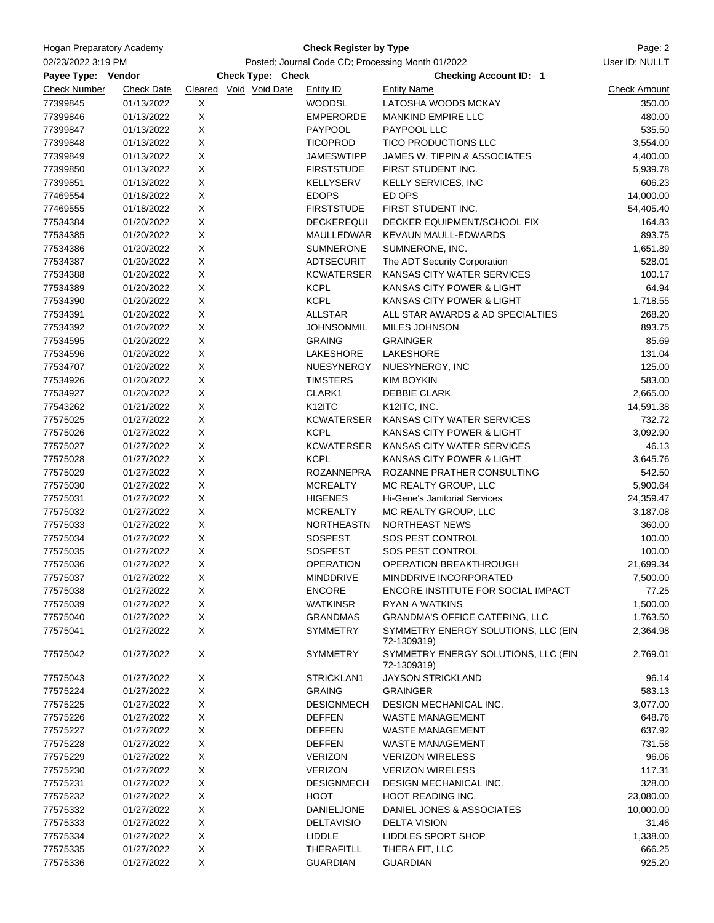| Hogan Preparatory Academy |                   |             | Page: 2                                                                            |                     |                                                    |                     |
|---------------------------|-------------------|-------------|------------------------------------------------------------------------------------|---------------------|----------------------------------------------------|---------------------|
| 02/23/2022 3:19 PM        |                   |             | User ID: NULLT                                                                     |                     |                                                    |                     |
| Payee Type: Vendor        |                   |             | Posted; Journal Code CD; Processing Month 01/2022<br><b>Checking Account ID: 1</b> |                     |                                                    |                     |
| <b>Check Number</b>       | <b>Check Date</b> |             | Check Type: Check<br>Cleared Void Void Date                                        | <b>Entity ID</b>    | <b>Entity Name</b>                                 | <b>Check Amount</b> |
| 77399845                  | 01/13/2022        | Χ           |                                                                                    | <b>WOODSL</b>       | LATOSHA WOODS MCKAY                                | 350.00              |
| 77399846                  | 01/13/2022        | $\mathsf X$ |                                                                                    | <b>EMPERORDE</b>    | <b>MANKIND EMPIRE LLC</b>                          | 480.00              |
| 77399847                  | 01/13/2022        | Χ           |                                                                                    | PAYPOOL             | PAYPOOL LLC                                        | 535.50              |
| 77399848                  | 01/13/2022        | X           |                                                                                    | <b>TICOPROD</b>     | TICO PRODUCTIONS LLC                               | 3,554.00            |
|                           |                   |             |                                                                                    |                     |                                                    |                     |
| 77399849                  | 01/13/2022        | Χ           |                                                                                    | <b>JAMESWTIPP</b>   | JAMES W. TIPPIN & ASSOCIATES                       | 4,400.00            |
| 77399850                  | 01/13/2022        | X           |                                                                                    | <b>FIRSTSTUDE</b>   | FIRST STUDENT INC.                                 | 5,939.78            |
| 77399851                  | 01/13/2022        | X           |                                                                                    | KELLYSERV           | <b>KELLY SERVICES, INC</b>                         | 606.23              |
| 77469554                  | 01/18/2022        | X           |                                                                                    | <b>EDOPS</b>        | ED OPS                                             | 14,000.00           |
| 77469555                  | 01/18/2022        | Χ           |                                                                                    | <b>FIRSTSTUDE</b>   | FIRST STUDENT INC.                                 | 54,405.40           |
| 77534384                  | 01/20/2022        | X           |                                                                                    | <b>DECKEREQUI</b>   | DECKER EQUIPMENT/SCHOOL FIX                        | 164.83              |
| 77534385                  | 01/20/2022        | X           |                                                                                    | MAULLEDWAR          | KEVAUN MAULL-EDWARDS                               | 893.75              |
| 77534386                  | 01/20/2022        | Χ           |                                                                                    | <b>SUMNERONE</b>    | SUMNERONE, INC.                                    | 1,651.89            |
| 77534387                  | 01/20/2022        | X           |                                                                                    | ADTSECURIT          | The ADT Security Corporation                       | 528.01              |
| 77534388                  | 01/20/2022        | Χ           |                                                                                    | KCWATERSER          | KANSAS CITY WATER SERVICES                         | 100.17              |
| 77534389                  | 01/20/2022        | X           |                                                                                    | <b>KCPL</b>         | KANSAS CITY POWER & LIGHT                          | 64.94               |
| 77534390                  | 01/20/2022        | $\mathsf X$ |                                                                                    | <b>KCPL</b>         | KANSAS CITY POWER & LIGHT                          | 1,718.55            |
| 77534391                  | 01/20/2022        | X           |                                                                                    | <b>ALLSTAR</b>      | ALL STAR AWARDS & AD SPECIALTIES                   | 268.20              |
| 77534392                  | 01/20/2022        | X           |                                                                                    | <b>JOHNSONMIL</b>   | MILES JOHNSON                                      | 893.75              |
| 77534595                  | 01/20/2022        | X           |                                                                                    | <b>GRAING</b>       | <b>GRAINGER</b>                                    | 85.69               |
| 77534596                  | 01/20/2022        | Χ           |                                                                                    | LAKESHORE           | LAKESHORE                                          | 131.04              |
| 77534707                  | 01/20/2022        | X           |                                                                                    | NUESYNERGY          | NUESYNERGY, INC                                    | 125.00              |
| 77534926                  | 01/20/2022        | Χ           |                                                                                    | <b>TIMSTERS</b>     | <b>KIM BOYKIN</b>                                  | 583.00              |
| 77534927                  | 01/20/2022        | Χ           |                                                                                    | CLARK1              | <b>DEBBIE CLARK</b>                                | 2,665.00            |
| 77543262                  | 01/21/2022        | X           |                                                                                    | K <sub>12</sub> ITC | K12ITC, INC.                                       |                     |
|                           |                   |             |                                                                                    |                     |                                                    | 14,591.38           |
| 77575025                  | 01/27/2022        | X           |                                                                                    | <b>KCWATERSER</b>   | KANSAS CITY WATER SERVICES                         | 732.72              |
| 77575026                  | 01/27/2022        | Χ           |                                                                                    | <b>KCPL</b>         | KANSAS CITY POWER & LIGHT                          | 3,092.90            |
| 77575027                  | 01/27/2022        | X           |                                                                                    | KCWATERSER          | KANSAS CITY WATER SERVICES                         | 46.13               |
| 77575028                  | 01/27/2022        | X           |                                                                                    | <b>KCPL</b>         | KANSAS CITY POWER & LIGHT                          | 3,645.76            |
| 77575029                  | 01/27/2022        | Χ           |                                                                                    | <b>ROZANNEPRA</b>   | ROZANNE PRATHER CONSULTING                         | 542.50              |
| 77575030                  | 01/27/2022        | Χ           |                                                                                    | <b>MCREALTY</b>     | MC REALTY GROUP, LLC                               | 5,900.64            |
| 77575031                  | 01/27/2022        | Χ           |                                                                                    | <b>HIGENES</b>      | <b>Hi-Gene's Janitorial Services</b>               | 24,359.47           |
| 77575032                  | 01/27/2022        | X           |                                                                                    | <b>MCREALTY</b>     | MC REALTY GROUP, LLC                               | 3,187.08            |
| 77575033                  | 01/27/2022        | X           |                                                                                    | NORTHEASTN          | NORTHEAST NEWS                                     | 360.00              |
| 77575034                  | 01/27/2022        | Χ           |                                                                                    | <b>SOSPEST</b>      | SOS PEST CONTROL                                   | 100.00              |
| 77575035                  | 01/27/2022        | X           |                                                                                    | <b>SOSPEST</b>      | SOS PEST CONTROL                                   | 100.00              |
| 77575036                  | 01/27/2022        | х           |                                                                                    | <b>OPERATION</b>    | OPERATION BREAKTHROUGH                             | 21,699.34           |
| 77575037                  | 01/27/2022        | X           |                                                                                    | <b>MINDDRIVE</b>    | MINDDRIVE INCORPORATED                             | 7,500.00            |
| 77575038                  | 01/27/2022        | X           |                                                                                    | <b>ENCORE</b>       | ENCORE INSTITUTE FOR SOCIAL IMPACT                 | 77.25               |
| 77575039                  | 01/27/2022        | X           |                                                                                    | <b>WATKINSR</b>     | <b>RYAN A WATKINS</b>                              | 1,500.00            |
| 77575040                  | 01/27/2022        | X           |                                                                                    | <b>GRANDMAS</b>     | <b>GRANDMA'S OFFICE CATERING, LLC</b>              | 1,763.50            |
| 77575041                  | 01/27/2022        | X           |                                                                                    | <b>SYMMETRY</b>     | SYMMETRY ENERGY SOLUTIONS, LLC (EIN<br>72-1309319) | 2,364.98            |
| 77575042                  | 01/27/2022        | Χ           |                                                                                    | <b>SYMMETRY</b>     | SYMMETRY ENERGY SOLUTIONS, LLC (EIN<br>72-1309319) | 2,769.01            |
| 77575043                  | 01/27/2022        | X           |                                                                                    | STRICKLAN1          | <b>JAYSON STRICKLAND</b>                           | 96.14               |
| 77575224                  | 01/27/2022        | Χ           |                                                                                    | <b>GRAING</b>       | <b>GRAINGER</b>                                    | 583.13              |
| 77575225                  | 01/27/2022        | X           |                                                                                    | <b>DESIGNMECH</b>   | DESIGN MECHANICAL INC.                             | 3,077.00            |
| 77575226                  | 01/27/2022        | X           |                                                                                    | <b>DEFFEN</b>       | <b>WASTE MANAGEMENT</b>                            | 648.76              |
| 77575227                  | 01/27/2022        | X           |                                                                                    | <b>DEFFEN</b>       | <b>WASTE MANAGEMENT</b>                            | 637.92              |
| 77575228                  | 01/27/2022        | X           |                                                                                    | <b>DEFFEN</b>       | <b>WASTE MANAGEMENT</b>                            | 731.58              |
| 77575229                  | 01/27/2022        | X           |                                                                                    | <b>VERIZON</b>      | <b>VERIZON WIRELESS</b>                            | 96.06               |
| 77575230                  | 01/27/2022        | X           |                                                                                    | <b>VERIZON</b>      | <b>VERIZON WIRELESS</b>                            | 117.31              |
| 77575231                  | 01/27/2022        | X           |                                                                                    | <b>DESIGNMECH</b>   | DESIGN MECHANICAL INC.                             | 328.00              |
| 77575232                  | 01/27/2022        | Χ           |                                                                                    | HOOT                | HOOT READING INC.                                  | 23,080.00           |
|                           |                   |             |                                                                                    |                     |                                                    |                     |
| 77575332                  | 01/27/2022        | Χ           |                                                                                    | DANIELJONE          | DANIEL JONES & ASSOCIATES                          | 10,000.00           |
| 77575333                  | 01/27/2022        | X           |                                                                                    | <b>DELTAVISIO</b>   | <b>DELTA VISION</b>                                | 31.46               |
| 77575334                  | 01/27/2022        | X           |                                                                                    | LIDDLE              | LIDDLES SPORT SHOP                                 | 1,338.00            |
| 77575335                  | 01/27/2022        | X           |                                                                                    | THERAFITLL          | THERA FIT, LLC                                     | 666.25              |
| 77575336                  | 01/27/2022        | X           |                                                                                    | <b>GUARDIAN</b>     | <b>GUARDIAN</b>                                    | 925.20              |